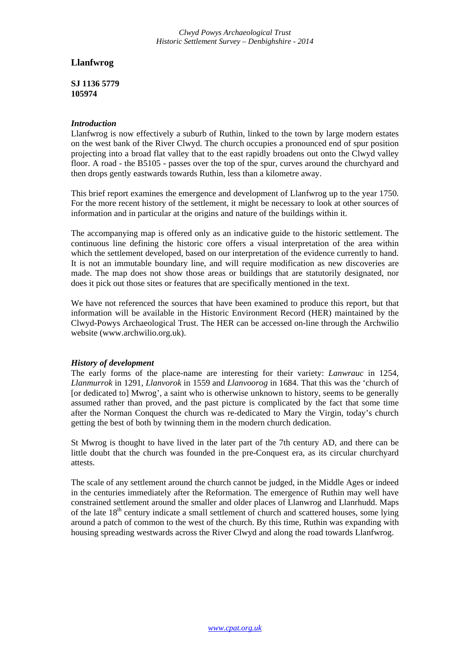*Clwyd Powys Archaeological Trust Historic Settlement Survey – Denbighshire - 2014*

# **Llanfwrog**

**SJ 1136 5779 105974**

### *Introduction*

Llanfwrog is now effectively a suburb of Ruthin, linked to the town by large modern estates on the west bank of the River Clwyd. The church occupies a pronounced end of spur position projecting into a broad flat valley that to the east rapidly broadens out onto the Clwyd valley floor. A road - the B5105 - passes over the top of the spur, curves around the churchyard and then drops gently eastwards towards Ruthin, less than a kilometre away.

This brief report examines the emergence and development of Llanfwrog up to the year 1750. For the more recent history of the settlement, it might be necessary to look at other sources of information and in particular at the origins and nature of the buildings within it.

The accompanying map is offered only as an indicative guide to the historic settlement. The continuous line defining the historic core offers a visual interpretation of the area within which the settlement developed, based on our interpretation of the evidence currently to hand. It is not an immutable boundary line, and will require modification as new discoveries are made. The map does not show those areas or buildings that are statutorily designated, nor does it pick out those sites or features that are specifically mentioned in the text.

We have not referenced the sources that have been examined to produce this report, but that information will be available in the Historic Environment Record (HER) maintained by the Clwyd-Powys Archaeological Trust. The HER can be accessed on-line through the Archwilio website (www.archwilio.org.uk).

### *History of development*

The early forms of the place-name are interesting for their variety: *Lanwrauc* in 1254, *Llanmurrok* in 1291, *Llanvorok* in 1559 and *Llanvoorog* in 1684. That this was the 'church of [or dedicated to] Mwrog', a saint who is otherwise unknown to history, seems to be generally assumed rather than proved, and the past picture is complicated by the fact that some time after the Norman Conquest the church was re-dedicated to Mary the Virgin, today's church getting the best of both by twinning them in the modern church dedication.

St Mwrog is thought to have lived in the later part of the 7th century AD, and there can be little doubt that the church was founded in the pre-Conquest era, as its circular churchyard attests.

The scale of any settlement around the church cannot be judged, in the Middle Ages or indeed in the centuries immediately after the Reformation. The emergence of Ruthin may well have constrained settlement around the smaller and older places of Llanwrog and Llanrhudd. Maps of the late  $18<sup>th</sup>$  century indicate a small settlement of church and scattered houses, some lying around a patch of common to the west of the church. By this time, Ruthin was expanding with housing spreading westwards across the River Clwyd and along the road towards Llanfwrog.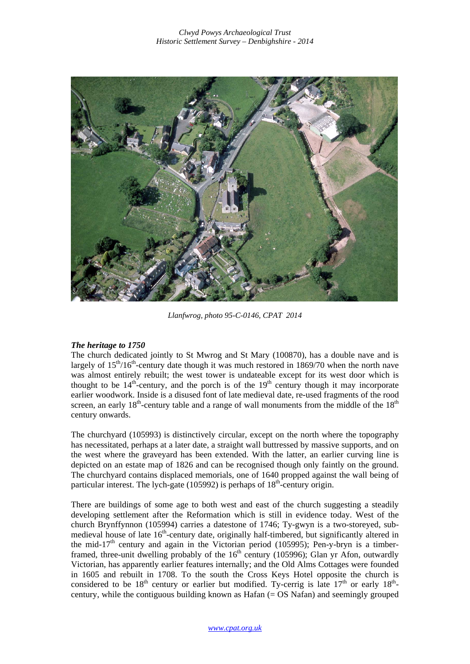

*Llanfwrog, photo 95-C-0146, CPAT 2014* 

# *The heritage to 1750*

The church dedicated jointly to St Mwrog and St Mary (100870), has a double nave and is largely of  $15<sup>th</sup>/16<sup>th</sup>$ -century date though it was much restored in 1869/70 when the north nave was almost entirely rebuilt; the west tower is undateable except for its west door which is thought to be  $14^{th}$ -century, and the porch is of the  $19^{th}$  century though it may incorporate earlier woodwork. Inside is a disused font of late medieval date, re-used fragments of the rood screen, an early  $18<sup>th</sup>$ -century table and a range of wall monuments from the middle of the  $18<sup>th</sup>$ century onwards.

The churchyard (105993) is distinctively circular, except on the north where the topography has necessitated, perhaps at a later date, a straight wall buttressed by massive supports, and on the west where the graveyard has been extended. With the latter, an earlier curving line is depicted on an estate map of 1826 and can be recognised though only faintly on the ground. The churchyard contains displaced memorials, one of 1640 propped against the wall being of particular interest. The lych-gate (105992) is perhaps of  $18<sup>th</sup>$ -century origin.

There are buildings of some age to both west and east of the church suggesting a steadily developing settlement after the Reformation which is still in evidence today. West of the church Brynffynnon (105994) carries a datestone of 1746; Ty-gwyn is a two-storeyed, submedieval house of late 16<sup>th</sup>-century date, originally half-timbered, but significantly altered in the mid-17<sup>th</sup> century and again in the Victorian period (105995); Pen-y-bryn is a timberframed, three-unit dwelling probably of the  $16<sup>th</sup>$  century (105996); Glan yr Afon, outwardly Victorian, has apparently earlier features internally; and the Old Alms Cottages were founded in 1605 and rebuilt in 1708. To the south the Cross Keys Hotel opposite the church is considered to be  $18<sup>th</sup>$  century or earlier but modified. Ty-cerrig is late  $17<sup>th</sup>$  or early  $18<sup>th</sup>$ century, while the contiguous building known as Hafan  $(= OS\text{ Nafan})$  and seemingly grouped